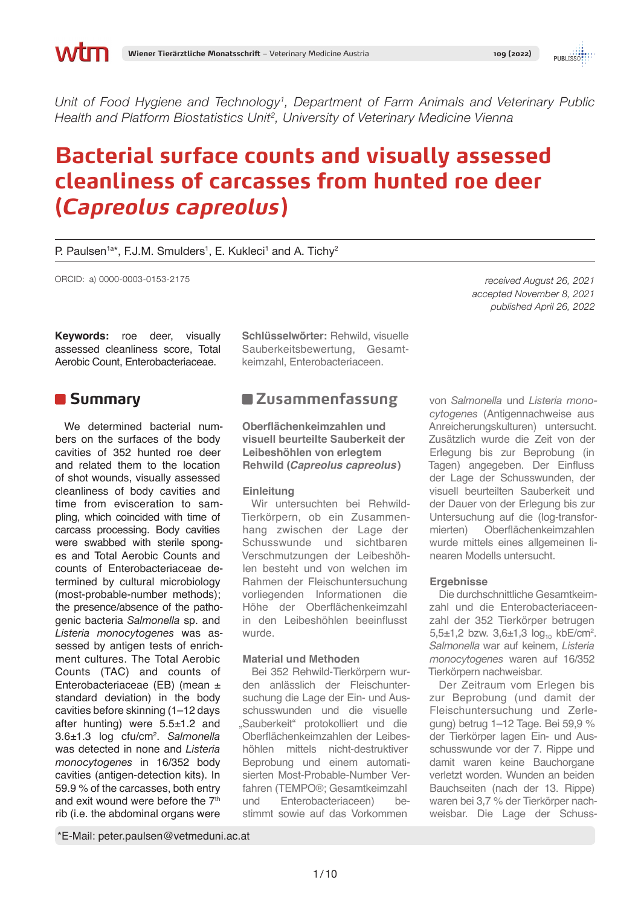*Unit of Food Hygiene and Technology1, Department of Farm Animals and Veterinary Public Health and Platform Biostatistics Unit2, University of Veterinary Medicine Vienna*

# **Bacterial surface counts and visually assessed cleanliness of carcasses from hunted roe deer (***Capreolus capreolus***)**

P. Paulsen<sup>1a\*</sup>, F.J.M. Smulders<sup>1</sup>, E. Kukleci<sup>1</sup> and A. Tichy<sup>2</sup>

ORCID: a) 0000-0003-0153-2175

**Keywords:** roe deer, visually assessed cleanliness score, Total Aerobic Count, Enterobacteriaceae.

## **Summary**

We determined bacterial numbers on the surfaces of the body cavities of 352 hunted roe deer and related them to the location of shot wounds, visually assessed cleanliness of body cavities and time from evisceration to sampling, which coincided with time of carcass processing. Body cavities were swabbed with sterile sponges and Total Aerobic Counts and counts of Enterobacteriaceae determined by cultural microbiology (most-probable-number methods); the presence/absence of the pathogenic bacteria *Salmonella* sp. and *Listeria monocytogenes* was assessed by antigen tests of enrichment cultures. The Total Aerobic Counts (TAC) and counts of Enterobacteriaceae (EB) (mean ± standard deviation) in the body cavities before skinning (1–12 days after hunting) were 5.5±1.2 and 3.6±1.3 log cfu/cm2 . *Salmonella*  was detected in none and *Listeria monocytogenes* in 16/352 body cavities (antigen-detection kits). In 59.9 % of the carcasses, both entry and exit wound were before the 7<sup>th</sup> rib (i.e. the abdominal organs were

**Schlüsselwörter:** Rehwild, visuelle Sauberkeitsbewertung, Gesamtkeimzahl, Enterobacteriaceen.

# **Zusammenfassung**

**Oberflächenkeimzahlen und visuell beurteilte Sauberkeit der Leibeshöhlen von erlegtem Rehwild (***Capreolus capreolus***)**

### **Einleitung**

Wir untersuchten bei Rehwild-Tierkörpern, ob ein Zusammenhang zwischen der Lage der Schusswunde und sichtbaren Verschmutzungen der Leibeshöhlen besteht und von welchen im Rahmen der Fleischuntersuchung vorliegenden Informationen die Höhe der Oberflächenkeimzahl in den Leibeshöhlen beeinflusst wurde.

### **Material und Methoden**

Bei 352 Rehwild-Tierkörpern wurden anlässlich der Fleischuntersuchung die Lage der Ein- und Ausschusswunden und die visuelle "Sauberkeit" protokolliert und die Oberflächenkeimzahlen der Leibeshöhlen mittels nicht-destruktiver Beprobung und einem automatisierten Most-Probable-Number Verfahren (TEMPO®; Gesamtkeimzahl und Enterobacteriaceen) bestimmt sowie auf das Vorkommen

*received August 26, 2021 accepted November 8, 2021 published April 26, 2022*

von *Salmonella* und *Listeria monocytogenes* (Antigennachweise aus Anreicherungskulturen) untersucht. Zusätzlich wurde die Zeit von der Erlegung bis zur Beprobung (in Tagen) angegeben. Der Einfluss der Lage der Schusswunden, der visuell beurteilten Sauberkeit und der Dauer von der Erlegung bis zur Untersuchung auf die (log-transformierten) Oberflächenkeimzahlen wurde mittels eines allgemeinen linearen Modells untersucht.

### **Ergebnisse**

Die durchschnittliche Gesamtkeimzahl und die Enterobacteriaceenzahl der 352 Tierkörper betrugen 5,5 $\pm$ 1,2 bzw. 3,6 $\pm$ 1,3 log<sub>10</sub> kbE/cm<sup>2</sup>. *Salmonella* war auf keinem, *Listeria monocytogenes* waren auf 16/352 Tierkörpern nachweisbar.

Der Zeitraum vom Erlegen bis zur Beprobung (und damit der Fleischuntersuchung und Zerlegung) betrug 1–12 Tage. Bei 59,9 % der Tierkörper lagen Ein- und Ausschusswunde vor der 7. Rippe und damit waren keine Bauchorgane verletzt worden. Wunden an beiden Bauchseiten (nach der 13. Rippe) waren bei 3,7 % der Tierkörper nachweisbar. Die Lage der Schuss-

\*E-Mail: peter.paulsen@vetmeduni.ac.at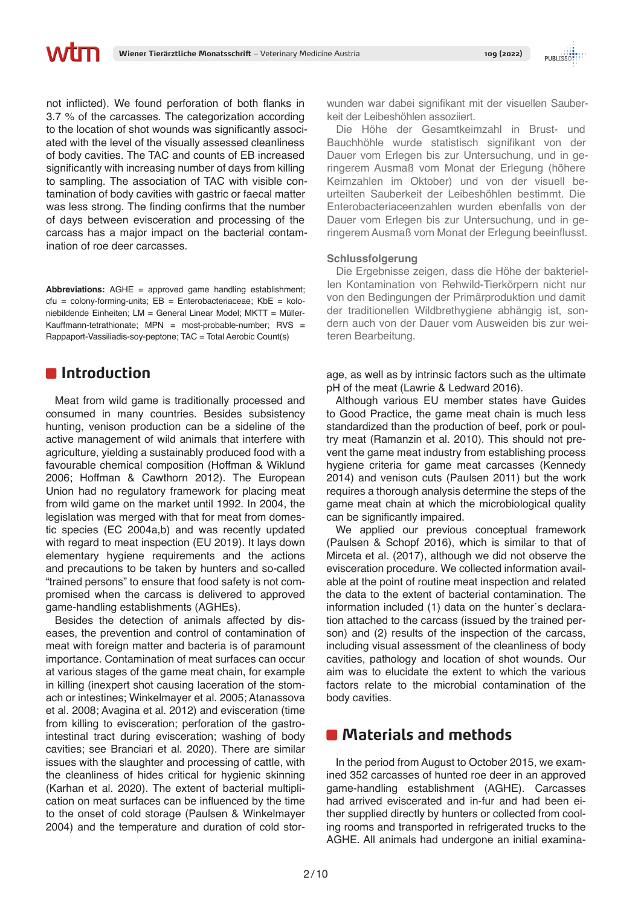not inflicted). We found perforation of both flanks in 3.7 % of the carcasses. The categorization according to the location of shot wounds was significantly associated with the level of the visually assessed cleanliness of body cavities. The TAC and counts of EB increased significantly with increasing number of days from killing to sampling. The association of TAC with visible contamination of body cavities with gastric or faecal matter was less strong. The finding confirms that the number of days between evisceration and processing of the carcass has a major impact on the bacterial contamination of roe deer carcasses.

**Abbreviations:** AGHE = approved game handling establishment;  $ctu =$  colony-forming-units;  $EB =$  Enterobacteriaceae;  $KbE =$  koloniebildende Einheiten; LM = General Linear Model; MKTT = Müller-Kauffmann-tetrathionate; MPN = most-probable-number; RVS = Rappaport-Vassiliadis-soy-peptone; TAC = Total Aerobic Count(s)

# **Introduction**

Meat from wild game is traditionally processed and consumed in many countries. Besides subsistency hunting, venison production can be a sideline of the active management of wild animals that interfere with agriculture, yielding a sustainably produced food with a favourable chemical composition (Hoffman & Wiklund 2006; Hoffman & Cawthorn 2012). The European Union had no regulatory framework for placing meat from wild game on the market until 1992. In 2004, the legislation was merged with that for meat from domestic species (EC 2004a,b) and was recently updated with regard to meat inspection (EU 2019). It lays down elementary hygiene requirements and the actions and precautions to be taken by hunters and so-called "trained persons" to ensure that food safety is not compromised when the carcass is delivered to approved game-handling establishments (AGHEs).

Besides the detection of animals affected by diseases, the prevention and control of contamination of meat with foreign matter and bacteria is of paramount importance. Contamination of meat surfaces can occur at various stages of the game meat chain, for example in killing (inexpert shot causing laceration of the stomach or intestines; Winkelmayer et al. 2005; Atanassova et al. 2008; Avagina et al. 2012) and evisceration (time from killing to evisceration; perforation of the gastrointestinal tract during evisceration; washing of body cavities; see Branciari et al. 2020). There are similar issues with the slaughter and processing of cattle, with the cleanliness of hides critical for hygienic skinning (Karhan et al. 2020). The extent of bacterial multiplication on meat surfaces can be influenced by the time to the onset of cold storage (Paulsen & Winkelmayer 2004) and the temperature and duration of cold storwunden war dabei signifikant mit der visuellen Sauberkeit der Leibeshöhlen assoziiert.

Die Höhe der Gesamtkeimzahl in Brust- und Bauchhöhle wurde statistisch signifikant von der Dauer vom Erlegen bis zur Untersuchung, und in geringerem Ausmaß vom Monat der Erlegung (höhere Keimzahlen im Oktober) und von der visuell beurteilten Sauberkeit der Leibeshöhlen bestimmt. Die Enterobacteriaceenzahlen wurden ebenfalls von der Dauer vom Erlegen bis zur Untersuchung, und in geringerem Ausmaß vom Monat der Erlegung beeinflusst.

### **Schlussfolgerung**

Die Ergebnisse zeigen, dass die Höhe der bakteriellen Kontamination von Rehwild-Tierkörpern nicht nur von den Bedingungen der Primärproduktion und damit der traditionellen Wildbrethygiene abhängig ist, sondern auch von der Dauer vom Ausweiden bis zur weiteren Bearbeitung.

age, as well as by intrinsic factors such as the ultimate pH of the meat (Lawrie & Ledward 2016).

Although various EU member states have Guides to Good Practice, the game meat chain is much less standardized than the production of beef, pork or poultry meat (Ramanzin et al. 2010). This should not prevent the game meat industry from establishing process hygiene criteria for game meat carcasses (Kennedy 2014) and venison cuts (Paulsen 2011) but the work requires a thorough analysis determine the steps of the game meat chain at which the microbiological quality can be significantly impaired.

We applied our previous conceptual framework (Paulsen & Schopf 2016), which is similar to that of Mirceta et al. (2017), although we did not observe the evisceration procedure. We collected information available at the point of routine meat inspection and related the data to the extent of bacterial contamination. The information included (1) data on the hunter´s declaration attached to the carcass (issued by the trained person) and (2) results of the inspection of the carcass, including visual assessment of the cleanliness of body cavities, pathology and location of shot wounds. Our aim was to elucidate the extent to which the various factors relate to the microbial contamination of the body cavities.

# **Materials and methods**

In the period from August to October 2015, we examined 352 carcasses of hunted roe deer in an approved game-handling establishment (AGHE). Carcasses had arrived eviscerated and in-fur and had been either supplied directly by hunters or collected from cooling rooms and transported in refrigerated trucks to the AGHE. All animals had undergone an initial examina-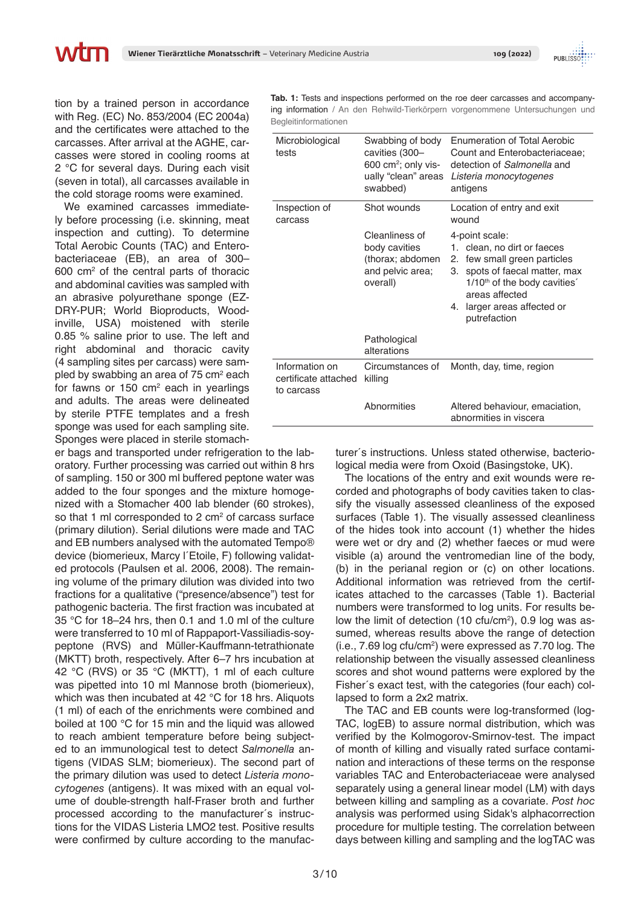tion by a trained person in accordance with Reg. (EC) No. 853/2004 (EC 2004a) and the certificates were attached to the carcasses. After arrival at the AGHE, carcasses were stored in cooling rooms at 2 °C for several days. During each visit (seven in total), all carcasses available in the cold storage rooms were examined.

We examined carcasses immediately before processing (i.e. skinning, meat inspection and cutting). To determine Total Aerobic Counts (TAC) and Enterobacteriaceae (EB), an area of 300– 600 cm2 of the central parts of thoracic and abdominal cavities was sampled with an abrasive polyurethane sponge (EZ-DRY-PUR; World Bioproducts, Woodinville, USA) moistened with sterile 0.85 % saline prior to use. The left and right abdominal and thoracic cavity (4 sampling sites per carcass) were sampled by swabbing an area of 75 cm<sup>2</sup> each for fawns or 150  $\text{cm}^2$  each in yearlings and adults. The areas were delineated by sterile PTFE templates and a fresh sponge was used for each sampling site. Sponges were placed in sterile stomach-

er bags and transported under refrigeration to the laboratory. Further processing was carried out within 8 hrs of sampling. 150 or 300 ml buffered peptone water was added to the four sponges and the mixture homogenized with a Stomacher 400 lab blender (60 strokes), so that 1 ml corresponded to 2  $\text{cm}^2$  of carcass surface (primary dilution). Serial dilutions were made and TAC and EB numbers analysed with the automated Tempo® device (biomerieux, Marcy l´Etoile, F) following validated protocols (Paulsen et al. 2006, 2008). The remaining volume of the primary dilution was divided into two fractions for a qualitative ("presence/absence") test for pathogenic bacteria. The first fraction was incubated at 35 °C for 18–24 hrs, then 0.1 and 1.0 ml of the culture were transferred to 10 ml of Rappaport-Vassiliadis-soypeptone (RVS) and Müller-Kauffmann-tetrathionate (MKTT) broth, respectively. After 6–7 hrs incubation at 42 °C (RVS) or 35 °C (MKTT), 1 ml of each culture was pipetted into 10 ml Mannose broth (biomerieux), which was then incubated at 42 °C for 18 hrs. Aliquots (1 ml) of each of the enrichments were combined and boiled at 100 °C for 15 min and the liquid was allowed to reach ambient temperature before being subjected to an immunological test to detect *Salmonella* antigens (VIDAS SLM; biomerieux). The second part of the primary dilution was used to detect *Listeria monocytogenes* (antigens). It was mixed with an equal volume of double-strength half-Fraser broth and further processed according to the manufacturer´s instructions for the VIDAS Listeria LMO2 test. Positive results were confirmed by culture according to the manufac-

**Tab. 1:** Tests and inspections performed on the roe deer carcasses and accompanying information / An den Rehwild-Tierkörpern vorgenommene Untersuchungen und Begleitinformationen

| Microbiological<br>tests                             | Swabbing of body<br>cavities (300-<br>$600 \text{ cm}^2$ ; only vis-<br>ually "clean" areas<br>swabbed) | <b>Enumeration of Total Aerobic</b><br>Count and Enterobacteriaceae;<br>detection of Salmonella and<br>Listeria monocytogenes<br>antigens                                                                                                         |  |
|------------------------------------------------------|---------------------------------------------------------------------------------------------------------|---------------------------------------------------------------------------------------------------------------------------------------------------------------------------------------------------------------------------------------------------|--|
| Inspection of<br>carcass                             | Shot wounds                                                                                             | Location of entry and exit<br>wound                                                                                                                                                                                                               |  |
|                                                      | Cleanliness of<br>body cavities<br>(thorax; abdomen<br>and pelvic area;<br>overall)                     | 4-point scale:<br>1. clean, no dirt or faeces<br>few small green particles<br>2.<br>spots of faecal matter, max<br>3.<br>1/10 <sup>th</sup> of the body cavities <sup>2</sup><br>areas affected<br>larger areas affected or<br>4.<br>putrefaction |  |
|                                                      | Pathological<br>alterations                                                                             |                                                                                                                                                                                                                                                   |  |
| Information on<br>certificate attached<br>to carcass | Circumstances of<br>killing                                                                             | Month, day, time, region                                                                                                                                                                                                                          |  |
|                                                      | Abnormities                                                                                             | Altered behaviour, emaciation,<br>abnormities in viscera                                                                                                                                                                                          |  |

turer´s instructions. Unless stated otherwise, bacteriological media were from Oxoid (Basingstoke, UK).

The locations of the entry and exit wounds were recorded and photographs of body cavities taken to classify the visually assessed cleanliness of the exposed surfaces (Table 1). The visually assessed cleanliness of the hides took into account (1) whether the hides were wet or dry and (2) whether faeces or mud were visible (a) around the ventromedian line of the body, (b) in the perianal region or (c) on other locations. Additional information was retrieved from the certificates attached to the carcasses (Table 1). Bacterial numbers were transformed to log units. For results below the limit of detection  $(10 \text{ ctu/cm}^2)$ , 0.9 log was assumed, whereas results above the range of detection (i.e., 7.69 log cfu/cm2 ) were expressed as 7.70 log. The relationship between the visually assessed cleanliness scores and shot wound patterns were explored by the Fisher´s exact test, with the categories (four each) collapsed to form a 2x2 matrix.

The TAC and EB counts were log-transformed (log-TAC, logEB) to assure normal distribution, which was verified by the Kolmogorov-Smirnov-test. The impact of month of killing and visually rated surface contamination and interactions of these terms on the response variables TAC and Enterobacteriaceae were analysed separately using a general linear model (LM) with days between killing and sampling as a covariate. *Post hoc*  analysis was performed using Sidak's alphacorrection procedure for multiple testing. The correlation between days between killing and sampling and the logTAC was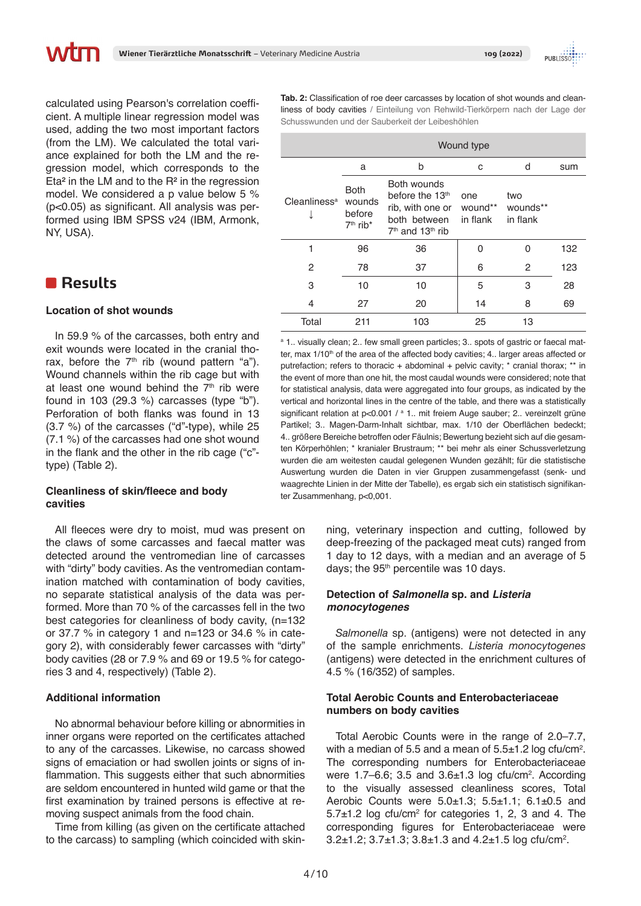calculated using Pearson's correlation coefficient. A multiple linear regression model was used, adding the two most important factors (from the LM). We calculated the total variance explained for both the LM and the regression model, which corresponds to the Eta² in the LM and to the R² in the regression model. We considered a p value below 5 % (p<0.05) as significant. All analysis was performed using IBM SPSS v24 (IBM, Armonk, NY, USA).

# **Results**

### **Location of shot wounds**

In 59.9 % of the carcasses, both entry and exit wounds were located in the cranial thorax, before the  $7<sup>th</sup>$  rib (wound pattern "a"). Wound channels within the rib cage but with at least one wound behind the  $7<sup>th</sup>$  rib were found in 103 (29.3 %) carcasses (type "b"). Perforation of both flanks was found in 13 (3.7 %) of the carcasses ("d"-type), while 25 (7.1 %) of the carcasses had one shot wound in the flank and the other in the rib cage ("c" type) (Table 2).

### **Cleanliness of skin/fleece and body cavities**

All fleeces were dry to moist, mud was present on the claws of some carcasses and faecal matter was detected around the ventromedian line of carcasses with "dirty" body cavities. As the ventromedian contamination matched with contamination of body cavities, no separate statistical analysis of the data was performed. More than 70 % of the carcasses fell in the two best categories for cleanliness of body cavity, (n=132 or 37.7 % in category 1 and n=123 or 34.6 % in category 2), with considerably fewer carcasses with "dirty" body cavities (28 or 7.9 % and 69 or 19.5 % for categories 3 and 4, respectively) (Table 2).

### **Additional information**

No abnormal behaviour before killing or abnormities in inner organs were reported on the certificates attached to any of the carcasses. Likewise, no carcass showed signs of emaciation or had swollen joints or signs of inflammation. This suggests either that such abnormities are seldom encountered in hunted wild game or that the first examination by trained persons is effective at removing suspect animals from the food chain.

Time from killing (as given on the certificate attached to the carcass) to sampling (which coincided with skin-

**Tab. 2:** Classification of roe deer carcasses by location of shot wounds and cleanliness of body cavities / Einteilung von Rehwild-Tierkörpern nach der Lage der Schusswunden und der Sauberkeit der Leibeshöhlen

|                          | Wound type                                                |                                                                                                                  |                            |                             |     |
|--------------------------|-----------------------------------------------------------|------------------------------------------------------------------------------------------------------------------|----------------------------|-----------------------------|-----|
|                          | a                                                         | b                                                                                                                | C                          | d                           | sum |
| Cleanliness <sup>a</sup> | <b>Both</b><br>wounds<br>before<br>$7th$ rib <sup>*</sup> | Both wounds<br>before the 13 <sup>th</sup><br>rib, with one or<br>both between<br>$7th$ and 13 <sup>th</sup> rib | one<br>wound**<br>in flank | two<br>wounds**<br>in flank |     |
|                          | 96                                                        | 36                                                                                                               | 0                          | ი                           | 132 |
| 2                        | 78                                                        | 37                                                                                                               | 6                          | 2                           | 123 |
| 3                        | 10                                                        | 10                                                                                                               | 5                          | 3                           | 28  |
| 4                        | 27                                                        | 20                                                                                                               | 14                         | 8                           | 69  |
| Total                    | 211                                                       | 103                                                                                                              | 25                         | 13                          |     |

<sup>a</sup> 1.. visually clean; 2.. few small green particles; 3.. spots of gastric or faecal matter, max 1/10<sup>th</sup> of the area of the affected body cavities; 4. larger areas affected or putrefaction; refers to thoracic + abdominal + pelvic cavity; \* cranial thorax; \*\* in the event of more than one hit, the most caudal wounds were considered; note that for statistical analysis, data were aggregated into four groups, as indicated by the vertical and horizontal lines in the centre of the table, and there was a statistically significant relation at p<0.001 / a 1.. mit freiem Auge sauber; 2.. vereinzelt grüne Partikel; 3.. Magen-Darm-Inhalt sichtbar, max. 1/10 der Oberflächen bedeckt; 4.. größere Bereiche betroffen oder Fäulnis; Bewertung bezieht sich auf die gesamten Körperhöhlen; \* kranialer Brustraum; \*\* bei mehr als einer Schussverletzung wurden die am weitesten caudal gelegenen Wunden gezählt; für die statistische Auswertung wurden die Daten in vier Gruppen zusammengefasst (senk- und waagrechte Linien in der Mitte der Tabelle), es ergab sich ein statistisch signifikanter Zusammenhang, p<0,001.

> ning, veterinary inspection and cutting, followed by deep-freezing of the packaged meat cuts) ranged from 1 day to 12 days, with a median and an average of 5 days; the 95<sup>th</sup> percentile was 10 days.

### **Detection of** *Salmonella* **sp. and** *Listeria monocytogenes*

*Salmonella* sp. (antigens) were not detected in any of the sample enrichments. *Listeria monocytogenes* (antigens) were detected in the enrichment cultures of 4.5 % (16/352) of samples.

### **Total Aerobic Counts and Enterobacteriaceae numbers on body cavities**

Total Aerobic Counts were in the range of 2.0–7.7, with a median of 5.5 and a mean of  $5.5\pm1.2$  log cfu/cm<sup>2</sup>. The corresponding numbers for Enterobacteriaceae were  $1.7-6.6$ ; 3.5 and  $3.6\pm1.3$  log cfu/cm<sup>2</sup>. According to the visually assessed cleanliness scores, Total Aerobic Counts were 5.0±1.3; 5.5±1.1; 6.1±0.5 and  $5.7\pm1.2$  log cfu/cm<sup>2</sup> for categories 1, 2, 3 and 4. The corresponding figures for Enterobacteriaceae were  $3.2\pm1.2$ ;  $3.7\pm1.3$ ;  $3.8\pm1.3$  and  $4.2\pm1.5$  log cfu/cm<sup>2</sup>.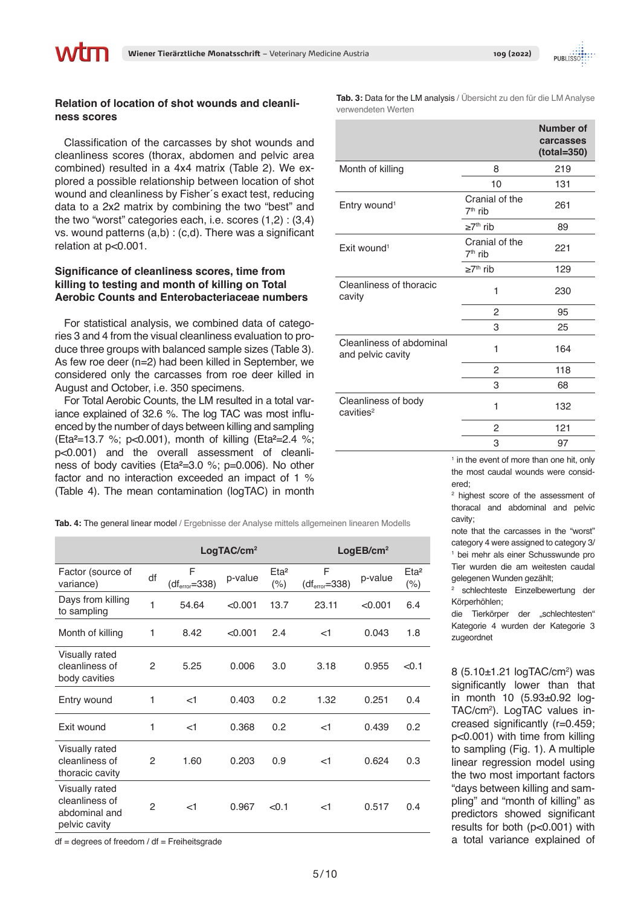

### **Relation of location of shot wounds and cleanliness scores**

Classification of the carcasses by shot wounds and cleanliness scores (thorax, abdomen and pelvic area combined) resulted in a 4x4 matrix (Table 2). We explored a possible relationship between location of shot wound and cleanliness by Fisher´s exact test, reducing data to a 2x2 matrix by combining the two "best" and the two "worst" categories each, i.e. scores (1,2) : (3,4) vs. wound patterns (a,b) : (c,d). There was a significant relation at p<0.001.

### **Significance of cleanliness scores, time from killing to testing and month of killing on Total Aerobic Counts and Enterobacteriaceae numbers**

For statistical analysis, we combined data of categories 3 and 4 from the visual cleanliness evaluation to produce three groups with balanced sample sizes (Table 3). As few roe deer (n=2) had been killed in September, we considered only the carcasses from roe deer killed in August and October, i.e. 350 specimens.

For Total Aerobic Counts, the LM resulted in a total variance explained of 32.6 %. The log TAC was most influenced by the number of days between killing and sampling (Eta²=13.7 %; p<0.001), month of killing (Eta²=2.4 %; p<0.001) and the overall assessment of cleanliness of body cavities (Eta²=3.0 %; p=0.006). No other factor and no interaction exceeded an impact of 1 % (Table 4). The mean contamination (logTAC) in month

**Tab. 4: The general linear model** / Ergebnisse der Analyse mittels allgemeinen linearen Modells

|                                                                    |               | LogTAC/cm <sup>2</sup> |         |                          | LogEB/cm <sup>2</sup> |         |                             |
|--------------------------------------------------------------------|---------------|------------------------|---------|--------------------------|-----------------------|---------|-----------------------------|
| Factor (source of<br>variance)                                     | df            | F<br>$(dferror=338)$   | p-value | Eta <sup>2</sup><br>(% ) | F<br>$(dferror=338)$  | p-value | Eta <sup>2</sup><br>$(\% )$ |
| Days from killing<br>to sampling                                   | 1             | 54.64                  | < 0.001 | 13.7                     | 23.11                 | < 0.001 | 6.4                         |
| Month of killing                                                   | 1             | 8.42                   | < 0.001 | 2.4                      | $<$ 1                 | 0.043   | 1.8                         |
| Visually rated<br>cleanliness of<br>body cavities                  | $\mathcal{P}$ | 5.25                   | 0.006   | 3.0                      | 3.18                  | 0.955   | < 0.1                       |
| Entry wound                                                        | 1             | $<$ 1                  | 0.403   | 0.2                      | 1.32                  | 0.251   | 0.4                         |
| Exit wound                                                         | 1             | $<$ 1                  | 0.368   | 0.2                      | $<$ 1                 | 0.439   | 0.2                         |
| Visually rated<br>cleanliness of<br>thoracic cavity                | $\mathcal{P}$ | 1.60                   | 0.203   | 0.9                      | $<$ 1                 | 0.624   | 0.3                         |
| Visually rated<br>cleanliness of<br>abdominal and<br>pelvic cavity | $\mathcal{P}$ | $<$ 1                  | 0.967   | < 0.1                    | $<$ 1                 | 0.517   | 0.4                         |

 $df = degrees of freedom / df = Freiheitsgrade$ 

**Tab. 3:** Data for the LM analysis / Übersicht zu den für die LM Analyse verwendeten Werten

|                                               |                                       | <b>Number of</b><br>carcasses<br>$(total = 350)$ |
|-----------------------------------------------|---------------------------------------|--------------------------------------------------|
| Month of killing                              | 8                                     | 219                                              |
|                                               | 10                                    | 131                                              |
| Entry wound <sup>1</sup>                      | Cranial of the<br>7 <sup>th</sup> rib | 261                                              |
|                                               | $\geq 7$ <sup>th</sup> rib            | 89                                               |
| Exit wound <sup>1</sup>                       | Cranial of the<br>$7th$ rib           | 221                                              |
|                                               | $\geq 7$ <sup>th</sup> rib            | 129                                              |
| Cleanliness of thoracic<br>cavity             | 1                                     | 230                                              |
|                                               | 2                                     | 95                                               |
|                                               | 3                                     | 25                                               |
| Cleanliness of abdominal<br>and pelvic cavity | 1                                     | 164                                              |
|                                               | $\overline{c}$                        | 118                                              |
|                                               | 3                                     | 68                                               |
| Cleanliness of body<br>cavities <sup>2</sup>  | 1                                     | 132                                              |
|                                               | 2                                     | 121                                              |
|                                               | 3                                     | 97                                               |

<sup>1</sup> in the event of more than one hit, only the most caudal wounds were considered;

2 highest score of the assessment of thoracal and abdominal and pelvic cavity;

note that the carcasses in the "worst" category 4 were assigned to category 3/ 1 bei mehr als einer Schusswunde pro Tier wurden die am weitesten caudal gelegenen Wunden gezählt;

2 schlechteste Einzelbewertung der Körperhöhlen;

die Tierkörper der "schlechtesten" Kategorie 4 wurden der Kategorie 3 zugeordnet

8 (5.10±1.21 logTAC/cm<sup>2</sup>) was significantly lower than that in month 10 (5.93±0.92 log-TAC/cm2 ). LogTAC values increased significantly (r=0.459; p<0.001) with time from killing to sampling (Fig. 1). A multiple linear regression model using the two most important factors "days between killing and sampling" and "month of killing" as predictors showed significant results for both (p<0.001) with a total variance explained of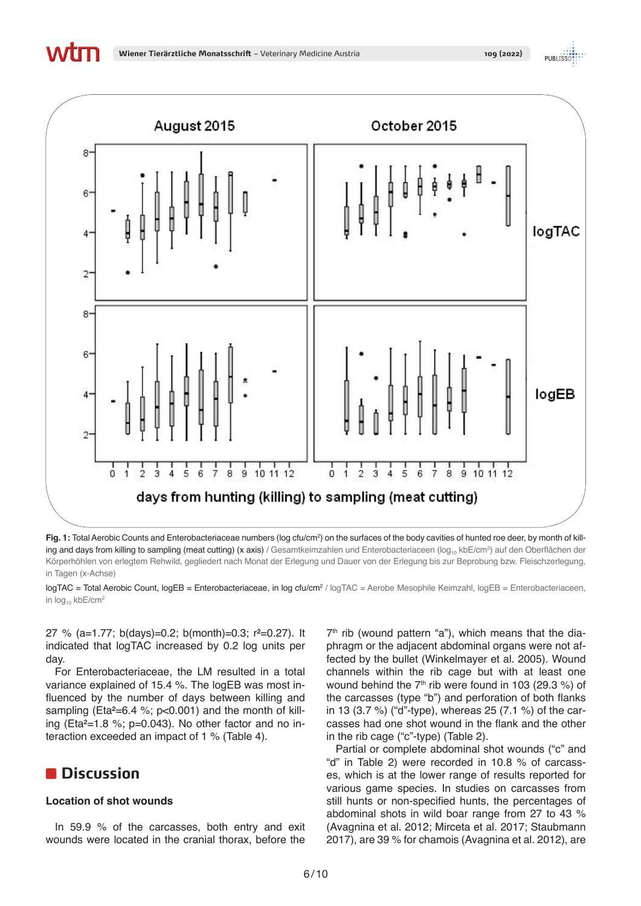VILLU



**Fig. 1:** Total Aerobic Counts and Enterobacteriaceae numbers (log cfu/cm<sup>2</sup>) on the surfaces of the body cavities of hunted roe deer, by month of killing and days from killing to sampling (meat cutting) (x axis) / Gesamtkeimzahlen und Enterobacteriaceen (log<sub>10</sub> kbE/cm<sup>2</sup>) auf den Oberflächen der Körperhöhlen von erlegtem Rehwild, gegliedert nach Monat der Erlegung und Dauer von der Erlegung bis zur Beprobung bzw. Fleischzerlegung, in Tagen (x-Achse)

27 % (a=1.77; b(days)=0.2; b(month)=0.3; r²=0.27). It indicated that logTAC increased by 0.2 log units per day.

For Enterobacteriaceae, the LM resulted in a total variance explained of 15.4 %. The logEB was most influenced by the number of days between killing and sampling (Eta $2=6.4$  %; p<0.001) and the month of killing (Eta<sup>2</sup>=1.8 %; p=0.043). No other factor and no interaction exceeded an impact of 1 % (Table 4).

# **Discussion**

### **Location of shot wounds**

In 59.9 % of the carcasses, both entry and exit wounds were located in the cranial thorax, before the

 $7<sup>th</sup>$  rib (wound pattern "a"), which means that the diaphragm or the adjacent abdominal organs were not affected by the bullet (Winkelmayer et al. 2005). Wound channels within the rib cage but with at least one wound behind the  $7<sup>th</sup>$  rib were found in 103 (29.3 %) of the carcasses (type "b") and perforation of both flanks in 13 (3.7 %) ("d"-type), whereas 25 (7.1 %) of the carcasses had one shot wound in the flank and the other in the rib cage ("c"-type) (Table 2).

Partial or complete abdominal shot wounds ("c" and "d" in Table 2) were recorded in 10.8 % of carcasses, which is at the lower range of results reported for various game species. In studies on carcasses from still hunts or non-specified hunts, the percentages of abdominal shots in wild boar range from 27 to 43 % (Avagnina et al. 2012; Mirceta et al. 2017; Staubmann 2017), are 39 % for chamois (Avagnina et al. 2012), are

logTAC = Total Aerobic Count, logEB = Enterobacteriaceae, in log cfu/cm<sup>2</sup> / logTAC = Aerobe Mesophile Keimzahl, logEB = Enterobacteriaceen, in  $log_{10}$  kbE/cm<sup>2</sup>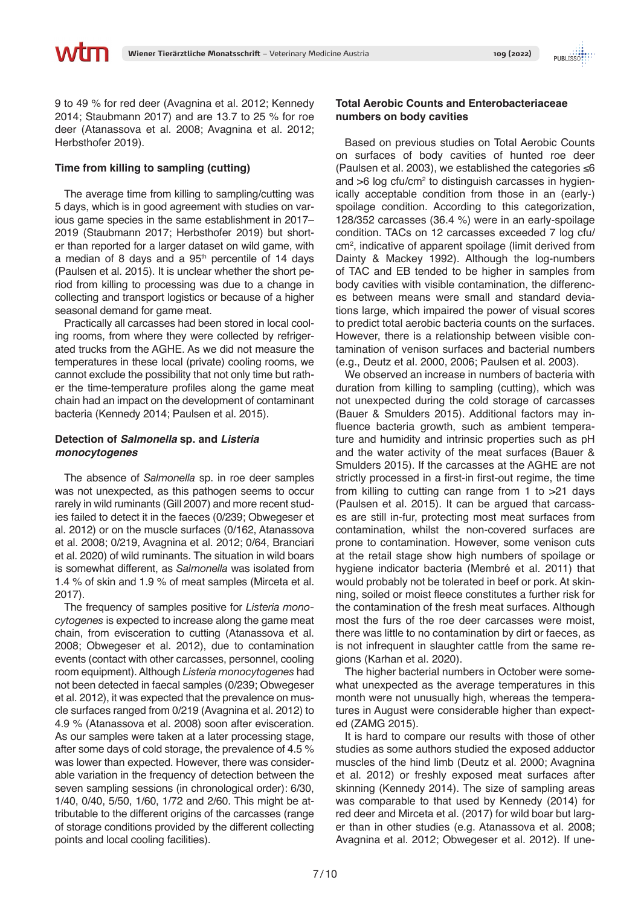9 to 49 % for red deer (Avagnina et al. 2012; Kennedy 2014; Staubmann 2017) and are 13.7 to 25 % for roe deer (Atanassova et al. 2008; Avagnina et al. 2012; Herbsthofer 2019).

### **Time from killing to sampling (cutting)**

The average time from killing to sampling/cutting was 5 days, which is in good agreement with studies on various game species in the same establishment in 2017– 2019 (Staubmann 2017; Herbsthofer 2019) but shorter than reported for a larger dataset on wild game, with a median of 8 days and a  $95<sup>th</sup>$  percentile of 14 days (Paulsen et al. 2015). It is unclear whether the short period from killing to processing was due to a change in collecting and transport logistics or because of a higher seasonal demand for game meat.

Practically all carcasses had been stored in local cooling rooms, from where they were collected by refrigerated trucks from the AGHE. As we did not measure the temperatures in these local (private) cooling rooms, we cannot exclude the possibility that not only time but rather the time-temperature profiles along the game meat chain had an impact on the development of contaminant bacteria (Kennedy 2014; Paulsen et al. 2015).

### **Detection of** *Salmonella* **sp. and** *Listeria monocytogenes*

The absence of *Salmonella* sp. in roe deer samples was not unexpected, as this pathogen seems to occur rarely in wild ruminants (Gill 2007) and more recent studies failed to detect it in the faeces (0/239; Obwegeser et al. 2012) or on the muscle surfaces (0/162, Atanassova et al. 2008; 0/219, Avagnina et al. 2012; 0/64, Branciari et al. 2020) of wild ruminants. The situation in wild boars is somewhat different, as *Salmonella* was isolated from 1.4 % of skin and 1.9 % of meat samples (Mirceta et al. 2017).

The frequency of samples positive for *Listeria monocytogenes* is expected to increase along the game meat chain, from evisceration to cutting (Atanassova et al. 2008; Obwegeser et al. 2012), due to contamination events (contact with other carcasses, personnel, cooling room equipment). Although *Listeria monocytogenes* had not been detected in faecal samples (0/239; Obwegeser et al. 2012), it was expected that the prevalence on muscle surfaces ranged from 0/219 (Avagnina et al. 2012) to 4.9 % (Atanassova et al. 2008) soon after evisceration. As our samples were taken at a later processing stage, after some days of cold storage, the prevalence of 4.5 % was lower than expected. However, there was considerable variation in the frequency of detection between the seven sampling sessions (in chronological order): 6/30, 1/40, 0/40, 5/50, 1/60, 1/72 and 2/60. This might be attributable to the different origins of the carcasses (range of storage conditions provided by the different collecting points and local cooling facilities).

### **Total Aerobic Counts and Enterobacteriaceae numbers on body cavities**

Based on previous studies on Total Aerobic Counts on surfaces of body cavities of hunted roe deer (Paulsen et al. 2003), we established the categories ≤6 and  $>6$  log cfu/cm<sup>2</sup> to distinguish carcasses in hygienically acceptable condition from those in an (early-) spoilage condition. According to this categorization, 128/352 carcasses (36.4 %) were in an early-spoilage condition. TACs on 12 carcasses exceeded 7 log cfu/ cm<sup>2</sup>, indicative of apparent spoilage (limit derived from Dainty & Mackey 1992). Although the log-numbers of TAC and EB tended to be higher in samples from body cavities with visible contamination, the differences between means were small and standard deviations large, which impaired the power of visual scores to predict total aerobic bacteria counts on the surfaces. However, there is a relationship between visible contamination of venison surfaces and bacterial numbers (e.g., Deutz et al. 2000, 2006; Paulsen et al. 2003).

We observed an increase in numbers of bacteria with duration from killing to sampling (cutting), which was not unexpected during the cold storage of carcasses (Bauer & Smulders 2015). Additional factors may influence bacteria growth, such as ambient temperature and humidity and intrinsic properties such as pH and the water activity of the meat surfaces (Bauer & Smulders 2015). If the carcasses at the AGHE are not strictly processed in a first-in first-out regime, the time from killing to cutting can range from 1 to >21 days (Paulsen et al. 2015). It can be argued that carcasses are still in-fur, protecting most meat surfaces from contamination, whilst the non-covered surfaces are prone to contamination. However, some venison cuts at the retail stage show high numbers of spoilage or hygiene indicator bacteria (Membré et al. 2011) that would probably not be tolerated in beef or pork. At skinning, soiled or moist fleece constitutes a further risk for the contamination of the fresh meat surfaces. Although most the furs of the roe deer carcasses were moist, there was little to no contamination by dirt or faeces, as is not infrequent in slaughter cattle from the same regions (Karhan et al. 2020).

The higher bacterial numbers in October were somewhat unexpected as the average temperatures in this month were not unusually high, whereas the temperatures in August were considerable higher than expected (ZAMG 2015).

It is hard to compare our results with those of other studies as some authors studied the exposed adductor muscles of the hind limb (Deutz et al. 2000; Avagnina et al. 2012) or freshly exposed meat surfaces after skinning (Kennedy 2014). The size of sampling areas was comparable to that used by Kennedy (2014) for red deer and Mirceta et al. (2017) for wild boar but larger than in other studies (e.g. Atanassova et al. 2008; Avagnina et al. 2012; Obwegeser et al. 2012). If une-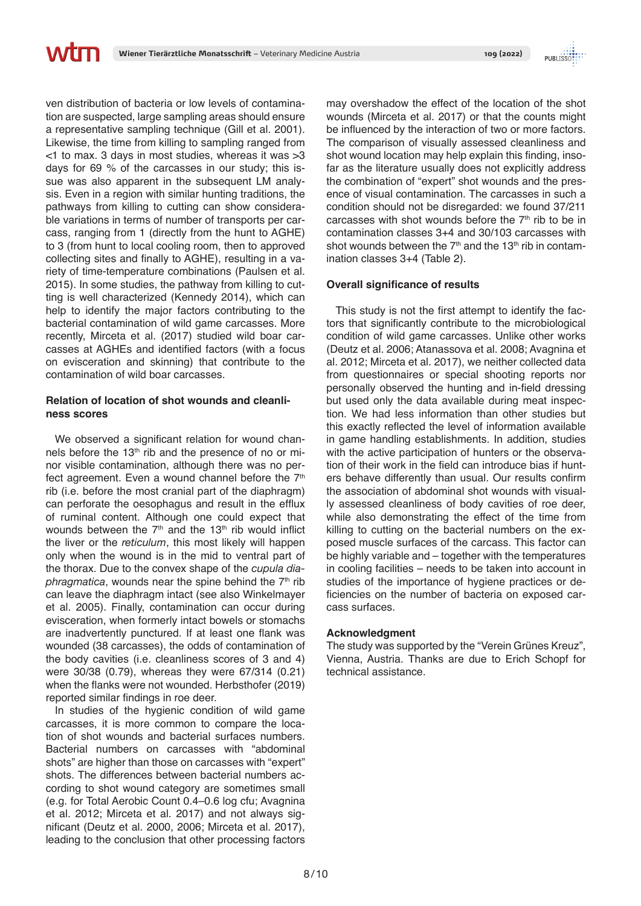ven distribution of bacteria or low levels of contamination are suspected, large sampling areas should ensure a representative sampling technique (Gill et al. 2001). Likewise, the time from killing to sampling ranged from  $<$ 1 to max. 3 days in most studies, whereas it was  $>$ 3 days for 69 % of the carcasses in our study; this issue was also apparent in the subsequent LM analysis. Even in a region with similar hunting traditions, the pathways from killing to cutting can show considerable variations in terms of number of transports per carcass, ranging from 1 (directly from the hunt to AGHE) to 3 (from hunt to local cooling room, then to approved collecting sites and finally to AGHE), resulting in a variety of time-temperature combinations (Paulsen et al. 2015). In some studies, the pathway from killing to cutting is well characterized (Kennedy 2014), which can help to identify the major factors contributing to the bacterial contamination of wild game carcasses. More recently, Mirceta et al. (2017) studied wild boar carcasses at AGHEs and identified factors (with a focus on evisceration and skinning) that contribute to the contamination of wild boar carcasses.

### **Relation of location of shot wounds and cleanliness scores**

We observed a significant relation for wound channels before the 13<sup>th</sup> rib and the presence of no or minor visible contamination, although there was no perfect agreement. Even a wound channel before the  $7<sup>th</sup>$ rib (i.e. before the most cranial part of the diaphragm) can perforate the oesophagus and result in the efflux of ruminal content. Although one could expect that wounds between the  $7<sup>th</sup>$  and the 13<sup>th</sup> rib would inflict the liver or the *reticulum*, this most likely will happen only when the wound is in the mid to ventral part of the thorax. Due to the convex shape of the *cupula diaphragmatica*, wounds near the spine behind the 7<sup>th</sup> rib can leave the diaphragm intact (see also Winkelmayer et al. 2005). Finally, contamination can occur during evisceration, when formerly intact bowels or stomachs are inadvertently punctured. If at least one flank was wounded (38 carcasses), the odds of contamination of the body cavities (i.e. cleanliness scores of 3 and 4) were 30/38 (0.79), whereas they were 67/314 (0.21) when the flanks were not wounded. Herbsthofer (2019) reported similar findings in roe deer.

In studies of the hygienic condition of wild game carcasses, it is more common to compare the location of shot wounds and bacterial surfaces numbers. Bacterial numbers on carcasses with "abdominal shots" are higher than those on carcasses with "expert" shots. The differences between bacterial numbers according to shot wound category are sometimes small (e.g. for Total Aerobic Count 0.4–0.6 log cfu; Avagnina et al. 2012; Mirceta et al. 2017) and not always significant (Deutz et al. 2000, 2006; Mirceta et al. 2017), leading to the conclusion that other processing factors

may overshadow the effect of the location of the shot wounds (Mirceta et al. 2017) or that the counts might be influenced by the interaction of two or more factors. The comparison of visually assessed cleanliness and shot wound location may help explain this finding, insofar as the literature usually does not explicitly address the combination of "expert" shot wounds and the presence of visual contamination. The carcasses in such a condition should not be disregarded: we found 37/211 carcasses with shot wounds before the  $7<sup>th</sup>$  rib to be in contamination classes 3+4 and 30/103 carcasses with shot wounds between the  $7<sup>th</sup>$  and the 13<sup>th</sup> rib in contamination classes 3+4 (Table 2).

### **Overall significance of results**

This study is not the first attempt to identify the factors that significantly contribute to the microbiological condition of wild game carcasses. Unlike other works (Deutz et al. 2006; Atanassova et al. 2008; Avagnina et al. 2012; Mirceta et al. 2017), we neither collected data from questionnaires or special shooting reports nor personally observed the hunting and in-field dressing but used only the data available during meat inspection. We had less information than other studies but this exactly reflected the level of information available in game handling establishments. In addition, studies with the active participation of hunters or the observation of their work in the field can introduce bias if hunters behave differently than usual. Our results confirm the association of abdominal shot wounds with visually assessed cleanliness of body cavities of roe deer, while also demonstrating the effect of the time from killing to cutting on the bacterial numbers on the exposed muscle surfaces of the carcass. This factor can be highly variable and – together with the temperatures in cooling facilities – needs to be taken into account in studies of the importance of hygiene practices or deficiencies on the number of bacteria on exposed carcass surfaces.

### **Acknowledgment**

The study was supported by the "Verein Grünes Kreuz", Vienna, Austria. Thanks are due to Erich Schopf for technical assistance.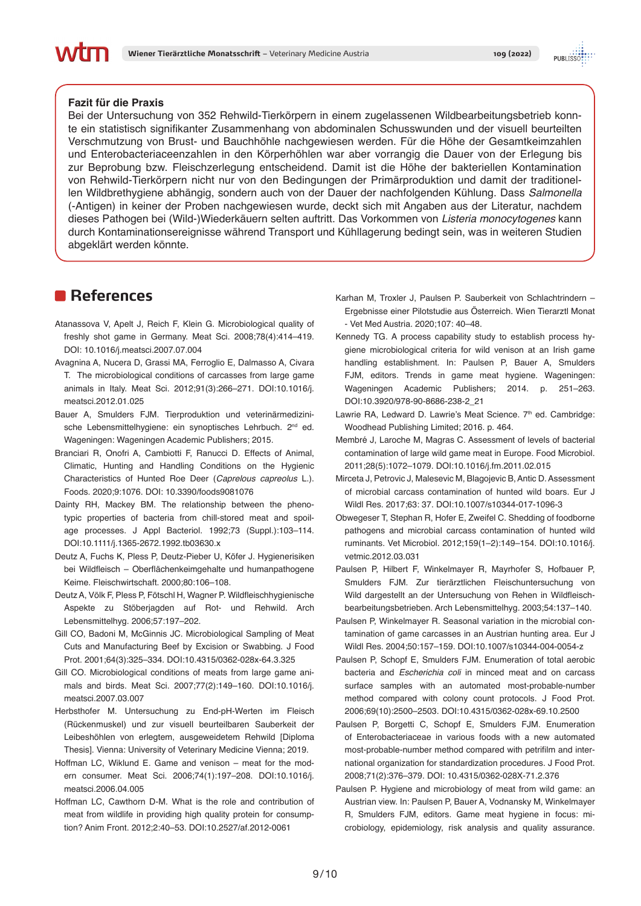### **Fazit für die Praxis**

Bei der Untersuchung von 352 Rehwild-Tierkörpern in einem zugelassenen Wildbearbeitungsbetrieb konnte ein statistisch signifikanter Zusammenhang von abdominalen Schusswunden und der visuell beurteilten Verschmutzung von Brust- und Bauchhöhle nachgewiesen werden. Für die Höhe der Gesamtkeimzahlen und Enterobacteriaceenzahlen in den Körperhöhlen war aber vorrangig die Dauer von der Erlegung bis zur Beprobung bzw. Fleischzerlegung entscheidend. Damit ist die Höhe der bakteriellen Kontamination von Rehwild-Tierkörpern nicht nur von den Bedingungen der Primärproduktion und damit der traditionellen Wildbrethygiene abhängig, sondern auch von der Dauer der nachfolgenden Kühlung. Dass *Salmonella* (-Antigen) in keiner der Proben nachgewiesen wurde, deckt sich mit Angaben aus der Literatur, nachdem dieses Pathogen bei (Wild-)Wiederkäuern selten auftritt. Das Vorkommen von *Listeria monocytogenes* kann durch Kontaminationsereignisse während Transport und Kühllagerung bedingt sein, was in weiteren Studien abgeklärt werden könnte.

# **References**

- Atanassova V, Apelt J, Reich F, Klein G. Microbiological quality of freshly shot game in Germany. Meat Sci. 2008;78(4):414–419. DOI: 10.1016/j.meatsci.2007.07.004
- Avagnina A, Nucera D, Grassi MA, Ferroglio E, Dalmasso A, Civara T. The microbiological conditions of carcasses from large game animals in Italy. Meat Sci. 2012;91(3):266–271. DOI:10.1016/j. meatsci.2012.01.025
- Bauer A, Smulders FJM. Tierproduktion und veterinärmedizinische Lebensmittelhygiene: ein synoptisches Lehrbuch. 2<sup>nd</sup> ed. Wageningen: Wageningen Academic Publishers; 2015.
- Branciari R, Onofri A, Cambiotti F, Ranucci D. Effects of Animal, Climatic, Hunting and Handling Conditions on the Hygienic Characteristics of Hunted Roe Deer (*Caprelous capreolus* L.). Foods. 2020;9:1076. DOI: 10.3390/foods9081076
- Dainty RH, Mackey BM. The relationship between the phenotypic properties of bacteria from chill-stored meat and spoilage processes. J Appl Bacteriol. 1992;73 (Suppl.):103–114. DOI:10.1111/j.1365-2672.1992.tb03630.x
- Deutz A, Fuchs K, Pless P, Deutz-Pieber U, Köfer J. Hygienerisiken bei Wildfleisch – Oberflächenkeimgehalte und humanpathogene Keime. Fleischwirtschaft. 2000;80:106–108.
- Deutz A, Völk F, Pless P, Fötschl H, Wagner P. Wildfleischhygienische Aspekte zu Stöberjagden auf Rot- und Rehwild. Arch Lebensmittelhyg. 2006;57:197–202.
- Gill CO, Badoni M, McGinnis JC. Microbiological Sampling of Meat Cuts and Manufacturing Beef by Excision or Swabbing. J Food Prot. 2001;64(3):325–334. DOI:10.4315/0362-028x-64.3.325
- Gill CO. Microbiological conditions of meats from large game animals and birds. Meat Sci. 2007;77(2):149–160. DOI:10.1016/j. meatsci.2007.03.007
- Herbsthofer M. Untersuchung zu End-pH-Werten im Fleisch (Rückenmuskel) und zur visuell beurteilbaren Sauberkeit der Leibeshöhlen von erlegtem, ausgeweidetem Rehwild [Diploma Thesis]. Vienna: University of Veterinary Medicine Vienna; 2019.
- Hoffman LC, Wiklund E. Game and venison meat for the modern consumer. Meat Sci. 2006;74(1):197–208. DOI:10.1016/j. meatsci.2006.04.005
- Hoffman LC, Cawthorn D-M. What is the role and contribution of meat from wildlife in providing high quality protein for consumption? Anim Front. 2012;2:40–53. DOI:10.2527/af.2012-0061
- Karhan M, Troxler J, Paulsen P. Sauberkeit von Schlachtrindern Ergebnisse einer Pilotstudie aus Österreich. Wien Tierarztl Monat - Vet Med Austria. 2020;107: 40–48.
- Kennedy TG. A process capability study to establish process hygiene microbiological criteria for wild venison at an Irish game handling establishment. In: Paulsen P, Bauer A, Smulders FJM, editors. Trends in game meat hygiene. Wageningen: Wageningen Academic Publishers; 2014. p. 251–263. DOI:10.3920/978-90-8686-238-2\_21
- Lawrie RA, Ledward D. Lawrie's Meat Science. 7th ed. Cambridge: Woodhead Publishing Limited; 2016. p. 464.
- Membré J, Laroche M, Magras C. Assessment of levels of bacterial contamination of large wild game meat in Europe. Food Microbiol. 2011;28(5):1072–1079. DOI:10.1016/j.fm.2011.02.015
- Mirceta J, Petrovic J, Malesevic M, Blagojevic B, Antic D. Assessment of microbial carcass contamination of hunted wild boars. Eur J Wildl Res. 2017;63: 37. DOI:10.1007/s10344-017-1096-3
- Obwegeser T, Stephan R, Hofer E, Zweifel C. Shedding of foodborne pathogens and microbial carcass contamination of hunted wild ruminants. Vet Microbiol. 2012;159(1–2):149–154. DOI:10.1016/j. vetmic.2012.03.031
- Paulsen P, Hilbert F, Winkelmayer R, Mayrhofer S, Hofbauer P, Smulders FJM. Zur tierärztlichen Fleischuntersuchung von Wild dargestellt an der Untersuchung von Rehen in Wildfleischbearbeitungsbetrieben. Arch Lebensmittelhyg. 2003;54:137–140.
- Paulsen P, Winkelmayer R. Seasonal variation in the microbial contamination of game carcasses in an Austrian hunting area. Eur J Wildl Res. 2004;50:157–159. DOI:10.1007/s10344-004-0054-z
- Paulsen P, Schopf E, Smulders FJM. Enumeration of total aerobic bacteria and *Escherichia coli* in minced meat and on carcass surface samples with an automated most-probable-number method compared with colony count protocols. J Food Prot. 2006;69(10):2500–2503. DOI:10.4315/0362-028x-69.10.2500
- Paulsen P, Borgetti C, Schopf E, Smulders FJM. Enumeration of Enterobacteriaceae in various foods with a new automated most-probable-number method compared with petrifilm and international organization for standardization procedures. J Food Prot. 2008;71(2):376–379. DOI: 10.4315/0362-028X-71.2.376
- Paulsen P. Hygiene and microbiology of meat from wild game: an Austrian view. In: Paulsen P, Bauer A, Vodnansky M, Winkelmayer R, Smulders FJM, editors. Game meat hygiene in focus: microbiology, epidemiology, risk analysis and quality assurance.